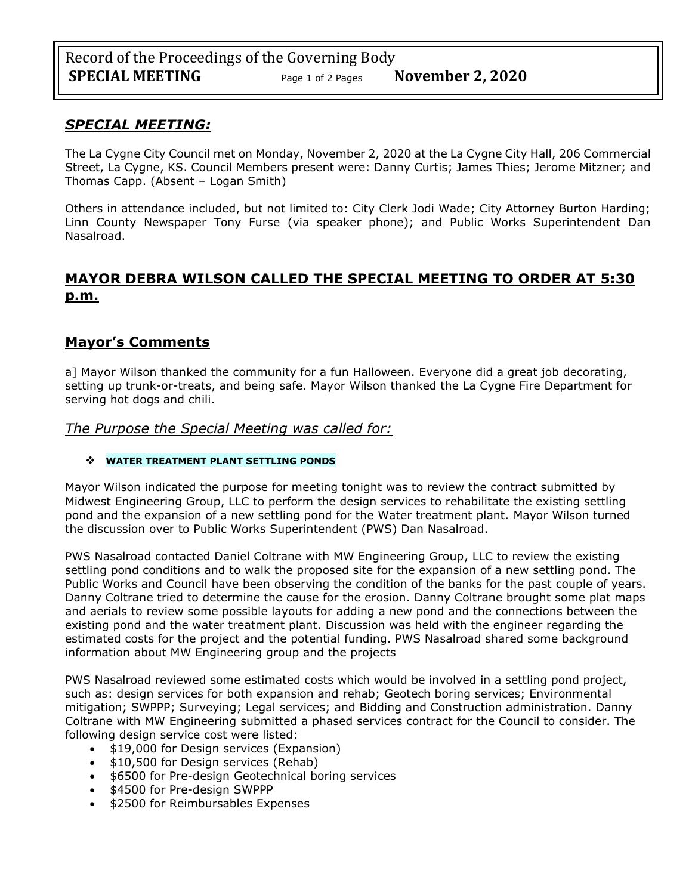## *SPECIAL MEETING:*

The La Cygne City Council met on Monday, November 2, 2020 at the La Cygne City Hall, 206 Commercial Street, La Cygne, KS. Council Members present were: Danny Curtis; James Thies; Jerome Mitzner; and Thomas Capp. (Absent – Logan Smith)

Others in attendance included, but not limited to: City Clerk Jodi Wade; City Attorney Burton Harding; Linn County Newspaper Tony Furse (via speaker phone); and Public Works Superintendent Dan Nasalroad.

# **MAYOR DEBRA WILSON CALLED THE SPECIAL MEETING TO ORDER AT 5:30 p.m.**

### **Mayor's Comments**

a] Mayor Wilson thanked the community for a fun Halloween. Everyone did a great job decorating, setting up trunk-or-treats, and being safe. Mayor Wilson thanked the La Cygne Fire Department for serving hot dogs and chili.

*The Purpose the Special Meeting was called for:*

#### ❖ **WATER TREATMENT PLANT SETTLING PONDS**

Mayor Wilson indicated the purpose for meeting tonight was to review the contract submitted by Midwest Engineering Group, LLC to perform the design services to rehabilitate the existing settling pond and the expansion of a new settling pond for the Water treatment plant. Mayor Wilson turned the discussion over to Public Works Superintendent (PWS) Dan Nasalroad.

PWS Nasalroad contacted Daniel Coltrane with MW Engineering Group, LLC to review the existing settling pond conditions and to walk the proposed site for the expansion of a new settling pond. The Public Works and Council have been observing the condition of the banks for the past couple of years. Danny Coltrane tried to determine the cause for the erosion. Danny Coltrane brought some plat maps and aerials to review some possible layouts for adding a new pond and the connections between the existing pond and the water treatment plant. Discussion was held with the engineer regarding the estimated costs for the project and the potential funding. PWS Nasalroad shared some background information about MW Engineering group and the projects

PWS Nasalroad reviewed some estimated costs which would be involved in a settling pond project, such as: design services for both expansion and rehab; Geotech boring services; Environmental mitigation; SWPPP; Surveying; Legal services; and Bidding and Construction administration. Danny Coltrane with MW Engineering submitted a phased services contract for the Council to consider. The following design service cost were listed:

- \$19,000 for Design services (Expansion)
- \$10,500 for Design services (Rehab)
- \$6500 for Pre-design Geotechnical boring services
- \$4500 for Pre-design SWPPP
- \$2500 for Reimbursables Expenses